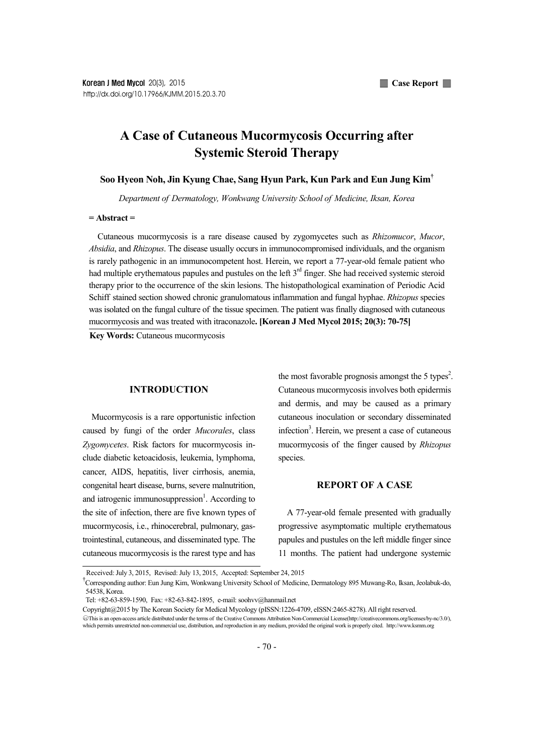# **A Case of Cutaneous Mucormycosis Occurring after Systemic Steroid Therapy**

## **Soo Hyeon Noh, Jin Kyung Chae, Sang Hyun Park, Kun Park and Eun Jung Kim†**

*Department of Dermatology, Wonkwang University School of Medicine, Iksan, Korea*

## **= Abstract =**

Cutaneous mucormycosis is a rare disease caused by zygomycetes such as *Rhizomucor*, *Mucor*, *Absidia*, and *Rhizopus*. The disease usually occurs in immunocompromised individuals, and the organism is rarely pathogenic in an immunocompetent host. Herein, we report a 77-year-old female patient who had multiple erythematous papules and pustules on the left 3<sup>rd</sup> finger. She had received systemic steroid therapy prior to the occurrence of the skin lesions. The histopathological examination of Periodic Acid Schiff stained section showed chronic granulomatous inflammation and fungal hyphae. *Rhizopus* species was isolated on the fungal culture of the tissue specimen. The patient was finally diagnosed with cutaneous mucormycosis and was treated with itraconazole**. [Korean J Med Mycol 2015; 20(3): 70-75]**

**Key Words:** Cutaneous mucormycosis

#### **INTRODUCTION**

Mucormycosis is a rare opportunistic infection caused by fungi of the order *Mucorales*, class *Zygomycetes*. Risk factors for mucormycosis in clude diabetic ketoacidosis, leukemia, lymphoma, cancer, AIDS, hepatitis, liver cirrhosis, anemia, congenital heart disease, burns, severe malnutrition, and iatrogenic immunosuppression<sup>1</sup>. According to the site of infection, there are five known types of mucormycosis, i.e., rhinocerebral, pulmonary, gastrointestinal, cutaneous, and disseminated type. The cutaneous mucormycosis is the rarest type and has

the most favorable prognosis amongst the 5 types<sup>2</sup>. . Cutaneous mucormycosis involves both epidermis and dermis, and may be caused as a primary cutaneous inoculation or secondary disseminated infection<sup>3</sup>. Herein, we present a case of cutaneous mucormycosis of the finger caused by *Rhizopus* species.

## **REPORT OF A CASE**

A 77-year-old female presented with gradually progressive asymptomatic multiple erythematous papules and pustules on the left middle finger since 11 months. The patient had undergone systemic

Received: July 3, 2015, Revised: July 13, 2015, Accepted: September 24, 2015

<sup>†</sup>Corresponding author: Eun Jung Kim, Wonkwang University School of Medicine, Dermatology 895 Muwang-Ro, Iksan, Jeolabuk-do, 54538, Korea.

Tel: +82-63-859-1590, Fax: +82-63-842-1895, e-mail: soohvv@hanmail.net

Copyright@2015 by The Korean Society for Medical Mycology (pISSN:1226-4709, eISSN:2465-8278).All right reserved.

<sup>○</sup>cc This is an open-access article distributed under the terms of the Creative Commons Attribution Non-Commercial License(http://creativecommons.org/licenses/by-nc/3.0/), which permits unrestricted non-commercial use, distribution, and reproduction in any medium, provided the original work is properly cited. http://www.ksmm.org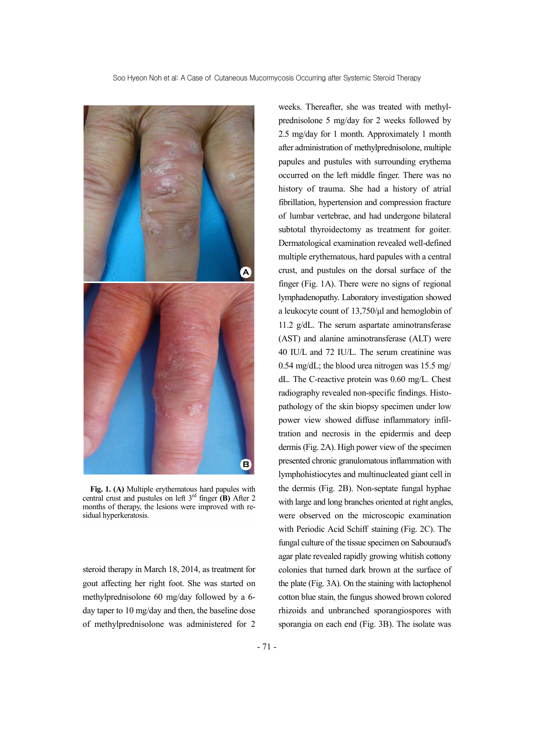

**Fig. 1. (A)** Multiple erythematous hard papules with central crust and pustules on left 3rd finger **(B)** After 2 months of therapy, the lesions were improved with re sidual hyperkeratosis.

steroid therapy in March 18, 2014, as treatment for gout affecting her right foot. She was started on methylprednisolone 60 mg/day followed by a 6 day taper to 10 mg/day and then, the baseline dose of methylprednisolone was administered for 2 weeks. Thereafter, she was treated with methyl prednisolone 5 mg/day for 2 weeks followed by 2.5 mg/day for 1 month. Approximately 1 month after administration of methylprednisolone, multiple papules and pustules with surrounding erythema occurred on the left middle finger. There was no history of trauma. She had a history of atrial fibrillation, hypertension and compression fracture of lumbar vertebrae, and had undergone bilateral subtotal thyroidectomy as treatment for goiter. Dermatological examination revealed well-defined multiple erythematous, hard papules with a central crust, and pustules on the dorsal surface of the finger (Fig. 1A). There were no signs of regional lymphadenopathy. Laboratory investigation showed a leukocyte count of 13,750/μl and hemoglobin of 11.2 g/dL. The serum aspartate aminotransferase (AST) and alanine aminotransferase (ALT) were 40 IU/L and 72 IU/L. The serum creatinine was 0.54 mg/dL; the blood urea nitrogen was 15.5 mg/ dL. The C-reactive protein was 0.60 mg/L. Chest radiography revealed non-specific findings. Histo pathology of the skin biopsy specimen under low power view showed diffuse inflammatory infiltration and necrosis in the epidermis and deep dermis (Fig. 2A). High power view of the specimen presented chronic granulomatous inflammation with lymphohistiocytes and multinucleated giant cell in the dermis (Fig. 2B). Non-septate fungal hyphae with large and long branches oriented at right angles, were observed on the microscopic examination with Periodic Acid Schiff staining (Fig. 2C). The fungal culture of the tissue specimen on Sabouraud's agar plate revealed rapidly growing whitish cottony colonies that turned dark brown at the surface of the plate (Fig. 3A). On the staining with lactophenol cotton blue stain, the fungus showed brown colored rhizoids and unbranched sporangiospores with sporangia on each end (Fig. 3B). The isolate was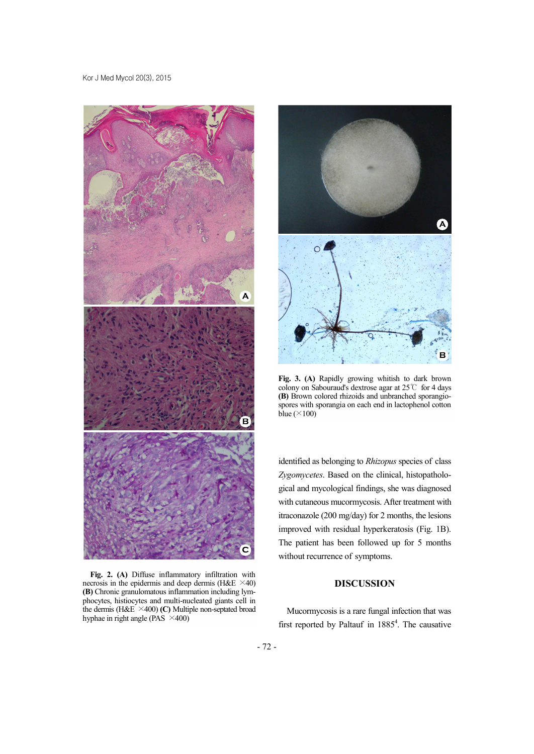

**Fig. 2. (A)** Diffuse inflammatory infiltration with necrosis in the epidermis and deep dermis (H&E  $\times$ 40) **(B)** Chronic granulomatous inflammation including lym phocytes, histiocytes and multi-nucleated giants cell in the dermis (H&E ×400) **(C)** Multiple non-septated broad hyphae in right angle (PAS  $\times$ 400)



**Fig. 3. (A)** Rapidly growing whitish to dark brown colony on Sabouraud's dextrose agar at 25℃ for 4 days **(B)** Brown colored rhizoids and unbranched sporangio spores with sporangia on each end in lactophenol cotton blue  $(\times 100)$ 

identified as belonging to *Rhizopus* species of class *Zygomycetes*. Based on the clinical, histopatholo gical and mycological findings, she was diagnosed with cutaneous mucormycosis. After treatment with itraconazole (200 mg/day) for 2 months, the lesions improved with residual hyperkeratosis (Fig. 1B). The patient has been followed up for 5 months without recurrence of symptoms.

## **DISCUSSION**

Mucormycosis is a rare fungal infection that was first reported by Paltauf in  $1885<sup>4</sup>$ . The causative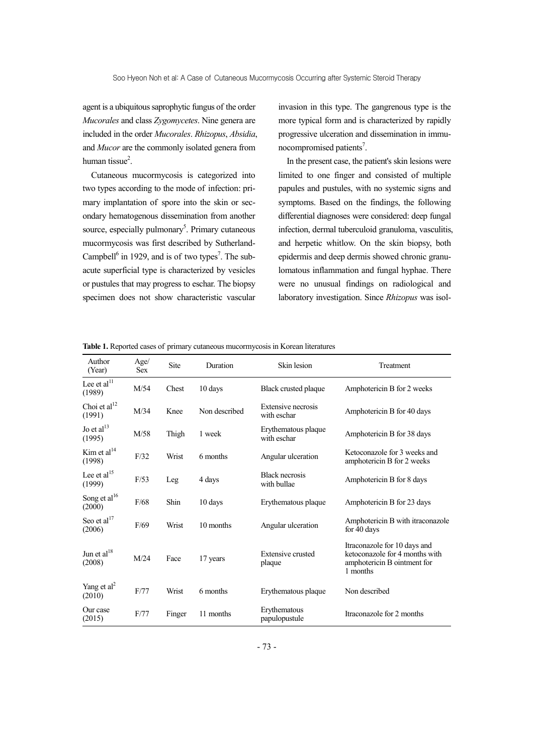agent is a ubiquitous saprophytic fungus of the order *Mucorales* and class *Zygomycetes*. Nine genera are included in the order *Mucorales*. *Rhizopus*, *Absidia*, and *Mucor* are the commonly isolated genera from human tissue $<sup>2</sup>$ .</sup> .

Cutaneous mucormycosis is categorized into two types according to the mode of infection: pri mary implantation of spore into the skin or sec ondary hematogenous dissemination from another source, especially pulmonary<sup>5</sup>. Primary cutaneous mucormycosis was first described by Sutherland- Campbell<sup>6</sup> in 1929, and is of two types<sup>7</sup>. The subacute superficial type is characterized by vesicles or pustules that may progress to eschar. The biopsy specimen does not show characteristic vascular

invasion in this type. The gangrenous type is the more typical form and is characterized by rapidly progressive ulceration and dissemination in immu nocompromised patients<sup>7</sup>.

In the present case, the patient's skin lesions were limited to one finger and consisted of multiple papules and pustules, with no systemic signs and symptoms. Based on the findings, the following differential diagnoses were considered: deep fungal infection, dermal tuberculoid granuloma, vasculitis, and herpetic whitlow. On the skin biopsy, both epidermis and deep dermis showed chronic granulomatous inflammation and fungal hyphae. There were no unusual findings on radiological and laboratory investigation. Since *Rhizopus* was isol-

| Author<br>(Year)                   | Age/<br><b>Sex</b> | Site   | Duration      | Skin lesion                          | Treatment                                                                                                 |
|------------------------------------|--------------------|--------|---------------|--------------------------------------|-----------------------------------------------------------------------------------------------------------|
| Lee et al <sup>11</sup><br>(1989)  | M/54               | Chest  | 10 days       | Black crusted plaque                 | Amphotericin B for 2 weeks                                                                                |
| Choi et al <sup>12</sup><br>(1991) | M/34               | Knee   | Non described | Extensive necrosis<br>with eschar    | Amphotericin B for 40 days                                                                                |
| Jo et al <sup>13</sup><br>(1995)   | M/58               | Thigh  | 1 week        | Erythematous plaque<br>with eschar   | Amphotericin B for 38 days                                                                                |
| Kim et $al14$<br>(1998)            | F/32               | Wrist  | 6 months      | Angular ulceration                   | Ketoconazole for 3 weeks and<br>amphotericin B for 2 weeks                                                |
| Lee et al <sup>15</sup><br>(1999)  | F/53               | Leg    | 4 days        | <b>Black necrosis</b><br>with bullae | Amphotericin B for 8 days                                                                                 |
| Song et al <sup>16</sup><br>(2000) | $\rm{F}/68$        | Shin   | 10 days       | Erythematous plaque                  | Amphotericin B for 23 days                                                                                |
| Seo et al <sup>17</sup><br>(2006)  | F/69               | Wrist  | 10 months     | Angular ulceration                   | Amphotericin B with itraconazole<br>for 40 days                                                           |
| Jun et al <sup>18</sup><br>(2008)  | M/24               | Face   | 17 years      | <b>Extensive crusted</b><br>plaque   | Itraconazole for 10 days and<br>ketoconazole for 4 months with<br>amphotericin B ointment for<br>1 months |
| Yang et $al2$<br>(2010)            | F/77               | Wrist  | 6 months      | Erythematous plaque                  | Non described                                                                                             |
| Our case<br>(2015)                 | F/77               | Finger | 11 months     | Erythematous<br>papulopustule        | Itraconazole for 2 months                                                                                 |

**Table 1.** Reported cases of primary cutaneous mucormycosis in Korean literatures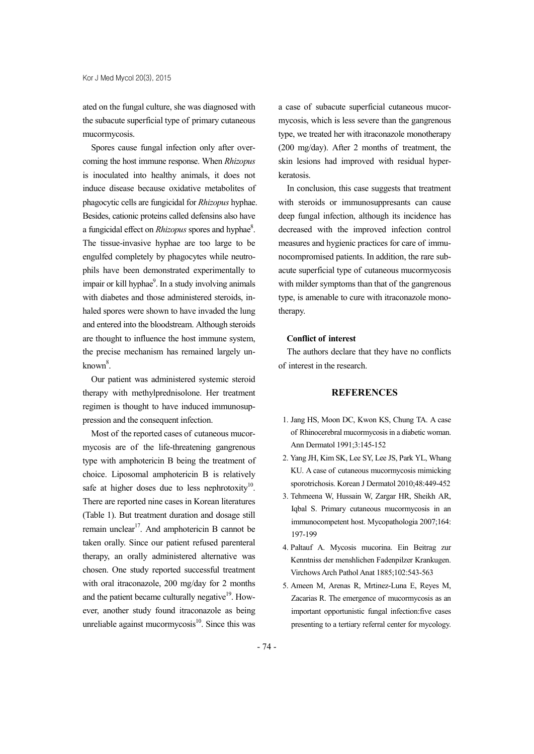ated on the fungal culture, she was diagnosed with the subacute superficial type of primary cutaneous mucormycosis.

Spores cause fungal infection only after over coming the host immune response. When *Rhizopus* is inoculated into healthy animals, it does not induce disease because oxidative metabolites of phagocytic cells are fungicidal for *Rhizopus* hyphae. Besides, cationic proteins called defensins also have a fungicidal effect on *Rhizopus* spores and hyphae<sup>8</sup>. The tissue-invasive hyphae are too large to be engulfed completely by phagocytes while neutro phils have been demonstrated experimentally to impair or kill hyphae<sup>9</sup>. In a study involving animals with diabetes and those administered steroids, in haled spores were shown to have invaded the lung and entered into the bloodstream. Although steroids are thought to influence the host immune system, the precise mechanism has remained largely un  $k$ nown $8$ .

Our patient was administered systemic steroid therapy with methylprednisolone. Her treatment regimen is thought to have induced immunosup pression and the consequent infection.

Most of the reported cases of cutaneous mucor mycosis are of the life-threatening gangrenous type with amphotericin B being the treatment of choice. Liposomal amphotericin B is relatively safe at higher doses due to less nephrotoxity $10$ . . There are reported nine cases in Korean literatures (Table 1). But treatment duration and dosage still remain unclear<sup>17</sup>. And amphotericin B cannot be taken orally. Since our patient refused parenteral therapy, an orally administered alternative was chosen. One study reported successful treatment with oral itraconazole, 200 mg/day for 2 months and the patient became culturally negative $19$ . However, another study found itraconazole as being unreliable against mucormy $\cosis^{10}$ . Since this was

a case of subacute superficial cutaneous mucor mycosis, which is less severe than the gangrenous type, we treated her with itraconazole monotherapy (200 mg/day). After 2 months of treatment, the skin lesions had improved with residual hyper keratosis.

In conclusion, this case suggests that treatment with steroids or immunosuppresants can cause deep fungal infection, although its incidence has decreased with the improved infection control measures and hygienic practices for care of immu nocompromised patients. In addition, the rare sub acute superficial type of cutaneous mucormycosis with milder symptoms than that of the gangrenous type, is amenable to cure with itraconazole monotherapy.

#### **Conflict of interest**

The authors declare that they have no conflicts of interest in the research.

# **REFERENCES**

- 1. Jang HS, Moon DC, Kwon KS, Chung TA. A case of Rhinocerebral mucormycosis in a diabetic woman. Ann Dermatol 1991;3:145-152
- 2. Yang JH, Kim SK, Lee SY, Lee JS, Park YL, Whang KU. A case of cutaneous mucormycosis mimicking sporotrichosis. Korean J Dermatol 2010;48:449-452
- 3. Tehmeena W, Hussain W, Zargar HR, Sheikh AR, Iqbal S. Primary cutaneous mucormycosis in an immunocompetent host. Mycopathologia 2007;164: 197-199
- 4. Paltauf A. Mycosis mucorina. Ein Beitrag zur Kenntniss der menshlichen Fadenpilzer Krankugen. Virchows Arch Pathol Anat 1885;102:543-563
- 5. Ameen M, Arenas R, Mrtinez-Luna E, Reyes M, Zacarias R. The emergence of mucormycosis as an important opportunistic fungal infection:five cases presenting to a tertiary referral center for mycology.